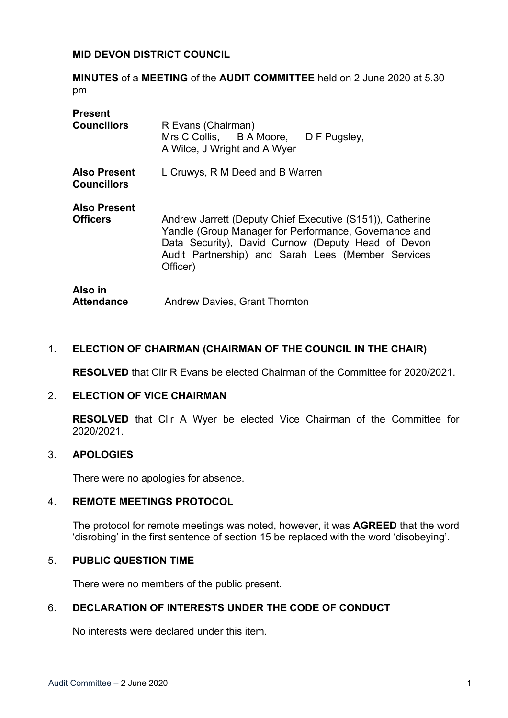### **MID DEVON DISTRICT COUNCIL**

**MINUTES** of a **MEETING** of the **AUDIT COMMITTEE** held on 2 June 2020 at 5.30 pm

| <b>Present</b>                            |                                                                                                                                                                                                                                            |
|-------------------------------------------|--------------------------------------------------------------------------------------------------------------------------------------------------------------------------------------------------------------------------------------------|
| <b>Councillors</b>                        | R Evans (Chairman)<br>Mrs C Collis, B A Moore, D F Pugsley,<br>A Wilce, J Wright and A Wyer                                                                                                                                                |
| <b>Also Present</b><br><b>Councillors</b> | L Cruwys, R M Deed and B Warren                                                                                                                                                                                                            |
| <b>Also Present</b>                       |                                                                                                                                                                                                                                            |
| <b>Officers</b>                           | Andrew Jarrett (Deputy Chief Executive (S151)), Catherine<br>Yandle (Group Manager for Performance, Governance and<br>Data Security), David Curnow (Deputy Head of Devon<br>Audit Partnership) and Sarah Lees (Member Services<br>Officer) |
| Also in                                   |                                                                                                                                                                                                                                            |
| <b>Attendance</b>                         | <b>Andrew Davies, Grant Thornton</b>                                                                                                                                                                                                       |

### 1. **ELECTION OF CHAIRMAN (CHAIRMAN OF THE COUNCIL IN THE CHAIR)**

**RESOLVED** that Cllr R Evans be elected Chairman of the Committee for 2020/2021.

#### 2. **ELECTION OF VICE CHAIRMAN**

**RESOLVED** that Cllr A Wyer be elected Vice Chairman of the Committee for 2020/2021.

### 3. **APOLOGIES**

There were no apologies for absence.

#### 4. **REMOTE MEETINGS PROTOCOL**

The protocol for remote meetings was noted, however, it was **AGREED** that the word 'disrobing' in the first sentence of section 15 be replaced with the word 'disobeying'.

#### 5. **PUBLIC QUESTION TIME**

There were no members of the public present.

### 6. **DECLARATION OF INTERESTS UNDER THE CODE OF CONDUCT**

No interests were declared under this item.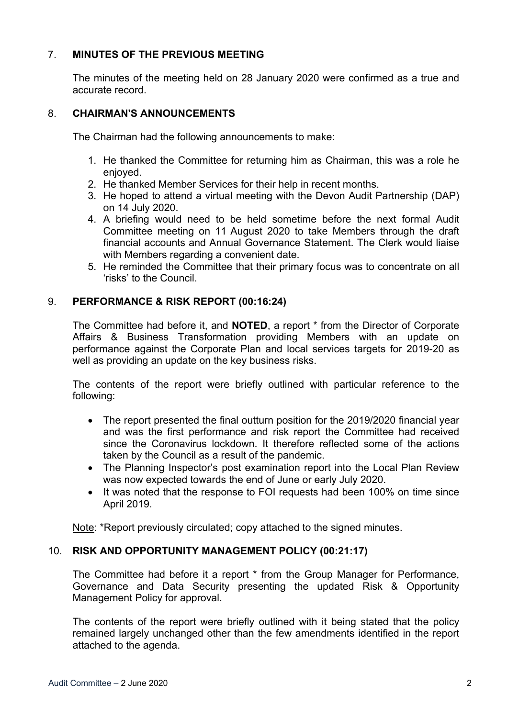## 7. **MINUTES OF THE PREVIOUS MEETING**

The minutes of the meeting held on 28 January 2020 were confirmed as a true and accurate record.

### 8. **CHAIRMAN'S ANNOUNCEMENTS**

The Chairman had the following announcements to make:

- 1. He thanked the Committee for returning him as Chairman, this was a role he enjoyed.
- 2. He thanked Member Services for their help in recent months.
- 3. He hoped to attend a virtual meeting with the Devon Audit Partnership (DAP) on 14 July 2020.
- 4. A briefing would need to be held sometime before the next formal Audit Committee meeting on 11 August 2020 to take Members through the draft financial accounts and Annual Governance Statement. The Clerk would liaise with Members regarding a convenient date.
- 5. He reminded the Committee that their primary focus was to concentrate on all 'risks' to the Council.

### 9. **PERFORMANCE & RISK REPORT (00:16:24)**

The Committee had before it, and **NOTED**, a report \* from the Director of Corporate Affairs & Business Transformation providing Members with an update on performance against the Corporate Plan and local services targets for 2019-20 as well as providing an update on the key business risks.

The contents of the report were briefly outlined with particular reference to the following:

- The report presented the final outturn position for the 2019/2020 financial year and was the first performance and risk report the Committee had received since the Coronavirus lockdown. It therefore reflected some of the actions taken by the Council as a result of the pandemic.
- The Planning Inspector's post examination report into the Local Plan Review was now expected towards the end of June or early July 2020.
- It was noted that the response to FOI requests had been 100% on time since April 2019.

Note: \*Report previously circulated; copy attached to the signed minutes.

### 10. **RISK AND OPPORTUNITY MANAGEMENT POLICY (00:21:17)**

The Committee had before it a report \* from the Group Manager for Performance, Governance and Data Security presenting the updated Risk & Opportunity Management Policy for approval.

The contents of the report were briefly outlined with it being stated that the policy remained largely unchanged other than the few amendments identified in the report attached to the agenda.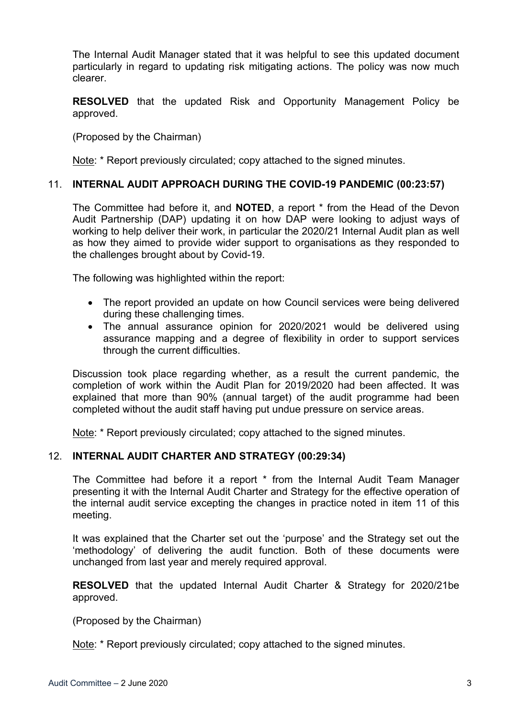The Internal Audit Manager stated that it was helpful to see this updated document particularly in regard to updating risk mitigating actions. The policy was now much clearer.

**RESOLVED** that the updated Risk and Opportunity Management Policy be approved.

(Proposed by the Chairman)

Note: \* Report previously circulated; copy attached to the signed minutes.

### 11. **INTERNAL AUDIT APPROACH DURING THE COVID-19 PANDEMIC (00:23:57)**

The Committee had before it, and **NOTED**, a report \* from the Head of the Devon Audit Partnership (DAP) updating it on how DAP were looking to adjust ways of working to help deliver their work, in particular the 2020/21 Internal Audit plan as well as how they aimed to provide wider support to organisations as they responded to the challenges brought about by Covid-19.

The following was highlighted within the report:

- The report provided an update on how Council services were being delivered during these challenging times.
- The annual assurance opinion for 2020/2021 would be delivered using assurance mapping and a degree of flexibility in order to support services through the current difficulties.

Discussion took place regarding whether, as a result the current pandemic, the completion of work within the Audit Plan for 2019/2020 had been affected. It was explained that more than 90% (annual target) of the audit programme had been completed without the audit staff having put undue pressure on service areas.

Note: \* Report previously circulated; copy attached to the signed minutes.

### 12. **INTERNAL AUDIT CHARTER AND STRATEGY (00:29:34)**

The Committee had before it a report \* from the Internal Audit Team Manager presenting it with the Internal Audit Charter and Strategy for the effective operation of the internal audit service excepting the changes in practice noted in item 11 of this meeting.

It was explained that the Charter set out the 'purpose' and the Strategy set out the 'methodology' of delivering the audit function. Both of these documents were unchanged from last year and merely required approval.

**RESOLVED** that the updated Internal Audit Charter & Strategy for 2020/21be approved.

(Proposed by the Chairman)

Note: \* Report previously circulated; copy attached to the signed minutes.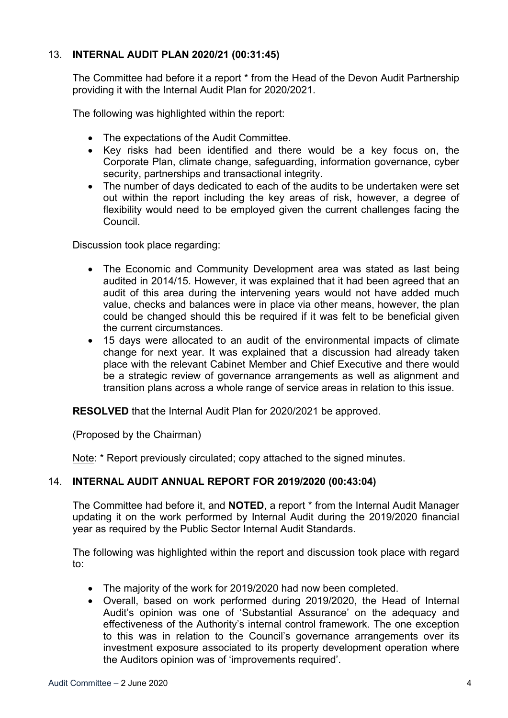## 13. **INTERNAL AUDIT PLAN 2020/21 (00:31:45)**

The Committee had before it a report \* from the Head of the Devon Audit Partnership providing it with the Internal Audit Plan for 2020/2021.

The following was highlighted within the report:

- The expectations of the Audit Committee.
- Key risks had been identified and there would be a key focus on, the Corporate Plan, climate change, safeguarding, information governance, cyber security, partnerships and transactional integrity.
- The number of days dedicated to each of the audits to be undertaken were set out within the report including the key areas of risk, however, a degree of flexibility would need to be employed given the current challenges facing the Council.

Discussion took place regarding:

- The Economic and Community Development area was stated as last being audited in 2014/15. However, it was explained that it had been agreed that an audit of this area during the intervening years would not have added much value, checks and balances were in place via other means, however, the plan could be changed should this be required if it was felt to be beneficial given the current circumstances.
- 15 days were allocated to an audit of the environmental impacts of climate change for next year. It was explained that a discussion had already taken place with the relevant Cabinet Member and Chief Executive and there would be a strategic review of governance arrangements as well as alignment and transition plans across a whole range of service areas in relation to this issue.

**RESOLVED** that the Internal Audit Plan for 2020/2021 be approved.

(Proposed by the Chairman)

Note: \* Report previously circulated; copy attached to the signed minutes.

### 14. **INTERNAL AUDIT ANNUAL REPORT FOR 2019/2020 (00:43:04)**

The Committee had before it, and **NOTED**, a report \* from the Internal Audit Manager updating it on the work performed by Internal Audit during the 2019/2020 financial year as required by the Public Sector Internal Audit Standards.

The following was highlighted within the report and discussion took place with regard to:

- The majority of the work for 2019/2020 had now been completed.
- Overall, based on work performed during 2019/2020, the Head of Internal Audit's opinion was one of 'Substantial Assurance' on the adequacy and effectiveness of the Authority's internal control framework. The one exception to this was in relation to the Council's governance arrangements over its investment exposure associated to its property development operation where the Auditors opinion was of 'improvements required'.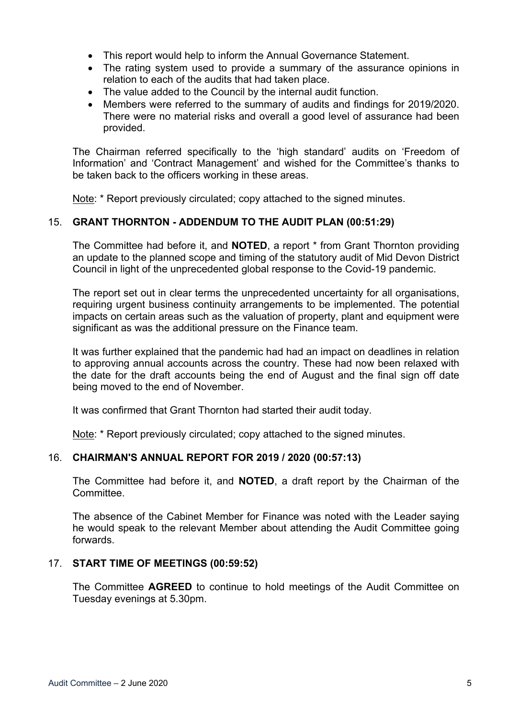- This report would help to inform the Annual Governance Statement.
- The rating system used to provide a summary of the assurance opinions in relation to each of the audits that had taken place.
- The value added to the Council by the internal audit function.
- Members were referred to the summary of audits and findings for 2019/2020. There were no material risks and overall a good level of assurance had been provided.

The Chairman referred specifically to the 'high standard' audits on 'Freedom of Information' and 'Contract Management' and wished for the Committee's thanks to be taken back to the officers working in these areas.

Note: \* Report previously circulated; copy attached to the signed minutes.

### 15. **GRANT THORNTON - ADDENDUM TO THE AUDIT PLAN (00:51:29)**

The Committee had before it, and **NOTED**, a report \* from Grant Thornton providing an update to the planned scope and timing of the statutory audit of Mid Devon District Council in light of the unprecedented global response to the Covid-19 pandemic.

The report set out in clear terms the unprecedented uncertainty for all organisations, requiring urgent business continuity arrangements to be implemented. The potential impacts on certain areas such as the valuation of property, plant and equipment were significant as was the additional pressure on the Finance team.

It was further explained that the pandemic had had an impact on deadlines in relation to approving annual accounts across the country. These had now been relaxed with the date for the draft accounts being the end of August and the final sign off date being moved to the end of November.

It was confirmed that Grant Thornton had started their audit today.

Note: \* Report previously circulated: copy attached to the signed minutes.

### 16. **CHAIRMAN'S ANNUAL REPORT FOR 2019 / 2020 (00:57:13)**

The Committee had before it, and **NOTED**, a draft report by the Chairman of the **Committee.** 

The absence of the Cabinet Member for Finance was noted with the Leader saying he would speak to the relevant Member about attending the Audit Committee going forwards.

### 17. **START TIME OF MEETINGS (00:59:52)**

The Committee **AGREED** to continue to hold meetings of the Audit Committee on Tuesday evenings at 5.30pm.